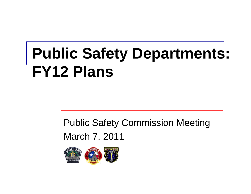# **Public Safety Departments: FY12 Plans**

#### Public Safety Commission Meeting March 7, 2011

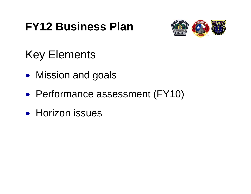#### **FY12 Business Plan**



## Key Elements

- $\bullet$ Mission and goals
- $\bullet$ Performance assessment (FY10)
- **Horizon issues**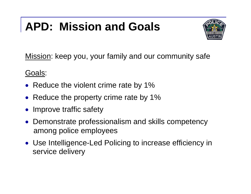# **APD: Mission and Goals**



Mission: keep you, your family and our community safe

Goals:

- Reduce the violent crime rate by 1%
- Reduce the property crime rate by 1%
- Improve traffic safety
- Demonstrate professionalism and skills competency among police employees
- Use Intelligence-Led Policing to increase efficiency in service delivery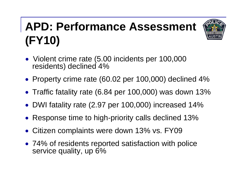# **APD: Performance Assessment (FY10)**



- Violent crime rate (5.00 incidents per 100,000 residents) declined 4%
- Property crime rate (60.02 per 100,000) declined 4%
- Traffic fatality rate (6.84 per 100,000) was down 13%
- $\bullet$ DWI fatality rate (2.97 per 100,000) increased 14%
- $\bullet$ Response time to high-priority calls declined 13%
- Citizen complaints were down 13% vs. FY09
- 74% of residents reported satisfaction with police service quality, up 6%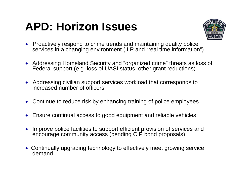### **APD: Horizon Issues**



- $\bullet$  Proactively respond to crime trends and maintaining quality police services in a changing environment (ILP and "real time information")
- Addressing Homeland Security and "organized crime" threats as loss of Federal support (e.g. loss of UASI status, other grant reductions)
- Addressing civilian support services workload that corresponds to increased number of officers
- $\bullet$ Continue to reduce risk by enhancing training of police employees
- 0 Ensure continual access to good equipment and reliable vehicles
- $\bullet$  Improve police facilities to support efficient provision of services and encourage community access (pending CIP bond proposals)
- Continually upgrading technology to effectively meet growing service demand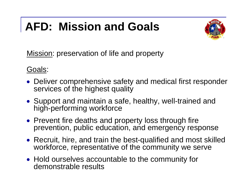# **AFD: Mission and Goals**



Mission: preservation of life and property

#### Goals:

- Deliver comprehensive safety and medical first responder services of the highest quality
- Support and maintain a safe, healthy, well-trained and high-performing workforce
- Prevent fire deaths and property loss through fire prevention, public education, and emergency response
- Recruit, hire, and train the best-qualified and most skilled workforce, representative of the community we serve
- Hold ourselves accountable to the community for demonstrable results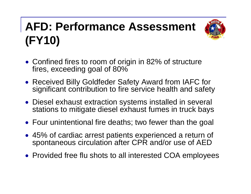# **AFD: Performance Assessment (FY10)**



- Confined fires to room of origin in 82% of structure fires, exceeding goal of 80%
- Received Billy Goldfeder Safety Award from IAFC for significant contribution to fire service health and safety
- Diesel exhaust extraction systems installed in several stations to mitigate diesel exhaust fumes in truck bays
- Four unintentional fire deaths; two fewer than the goal
- 45% of cardiac arrest patients experienced a return of spontaneous circulation after CPR and/or use of AED
- Provided free flu shots to all interested COA employees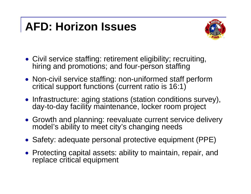#### **AFD: Horizon Issues**



- Civil service staffing: retirement eligibility; recruiting, hiring and promotions; and four-person staffing
- Non-civil service staffing: non-uniformed staff perform critical support functions (current ratio is 16:1)
- Infrastructure: aging stations (station conditions survey), day-to-day facility maintenance, locker room project
- Growth and planning: reevaluate current service delivery model's ability to meet city's changing needs
- Safety: adequate personal protective equipment (PPE)
- Protecting capital assets: ability to maintain, repair, and replace critical equipment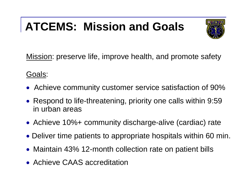### **ATCEMS: Mission and Goals**



Mission: preserve life, improve health, and promote safety

Goals:

- Achieve community customer service satisfaction of 90%
- Respond to life-threatening, priority one calls within 9:59 in urban areas
- Achieve 10%+ community discharge-alive (cardiac) rate
- Deliver time patients to appropriate hospitals within 60 min.
- Maintain 43% 12-month collection rate on patient bills
- Achieve CAAS accreditation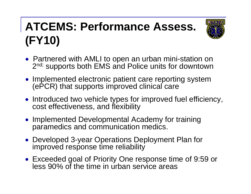# **ATCEMS: Performance Assess. (FY10)**



- Partnered with AMLI to open an urban mini-station on 2<sup>nd;</sup> supports both EMS and Police units for downtown
- Implemented electronic patient care reporting system (ePCR) that supports improved clinical care
- Introduced two vehicle types for improved fuel efficiency, cost effectiveness, and flexibility
- Implemented Developmental Academy for training paramedics and communication medics.
- Developed 3-year Operations Deployment Plan for improved response time reliability
- Exceeded goal of Priority One response time of 9:59 or less 90% of the time in urban service areas